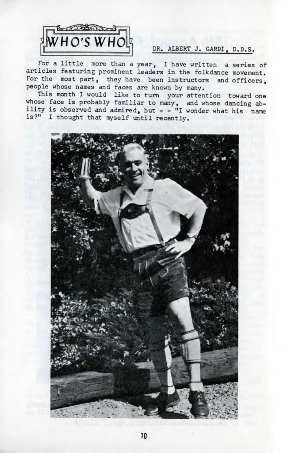

## DR. ALBERT J. GARDI, D.D.S.

For a little more than a year, I have written a series of articles featuring prominent leaders in the folkdance movement. For the most part, they have been instructors and officers, people whose names and faces are known by many.

This month I would like to turn your attention toward one whose face is probably familiar to many, and whose dancing ability is observed and admired, but - - "I wonder what his name is?" I thought that myself until recently.